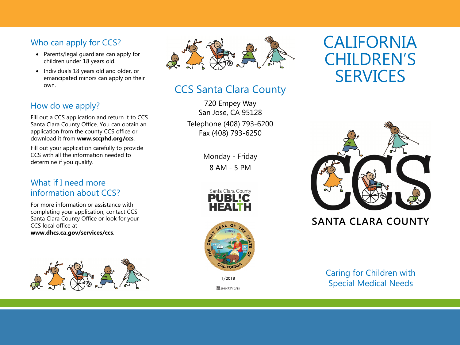# Who can apply for CCS?

- Parents/legal guardians can apply for children under 18 years old.
- Individuals 18 years old and older, or emancipated minors can apply on their own.

## How do we apply?

Fill out a CCS application and return it to CCS Santa Clara County Office. You can obtain an application from the county CCS office or download it from **www.sccphd.org/ccs**.

Fill out your application carefully to provide CCS with all the information needed to determine if you qualify.

#### What if I need more information about CCS?

For more information or assistance with completing your application, contact CCS Santa Clara County Office or look for your CCS local office at **www.dhcs.ca.gov/services/ccs**.





# CCS Santa Clara County

720 Empey Way San Jose, CA 95128 Telephone (408) 793-6200 Fax (408) 793-6250

> Monday - Friday 8 AM - 5 PM





1/2018

2960 REV 2/18

# CALIFORNIA CHILDREN'S **SERVICES**



# **SANTA CLARA COUNTY**

Caring for Children with Special Medical Needs